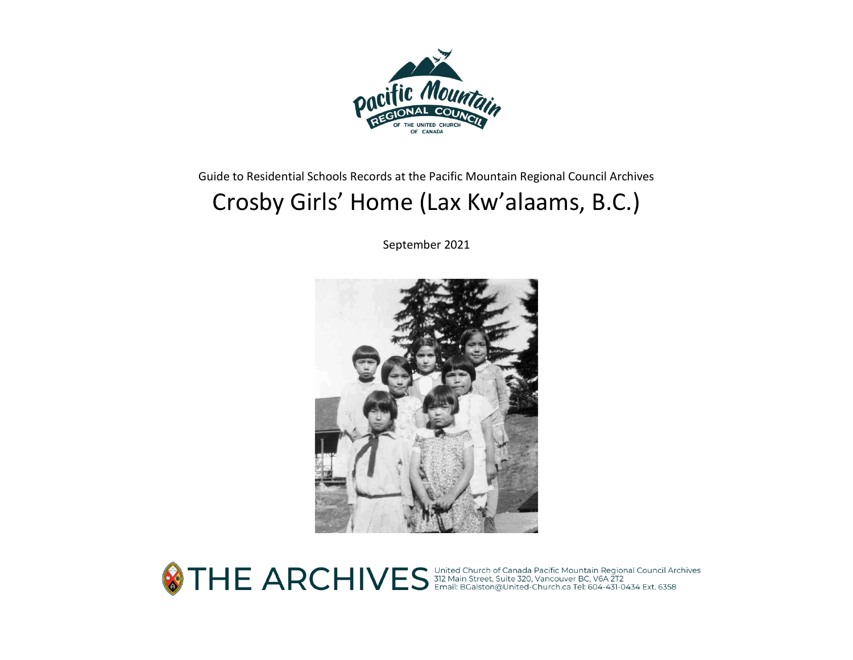

Guide to Residential Schools Records at the Pacific Mountain Regional Council Archives

# Crosby Girls' Home (Lax Kw'alaams, B.C.)

September 2021



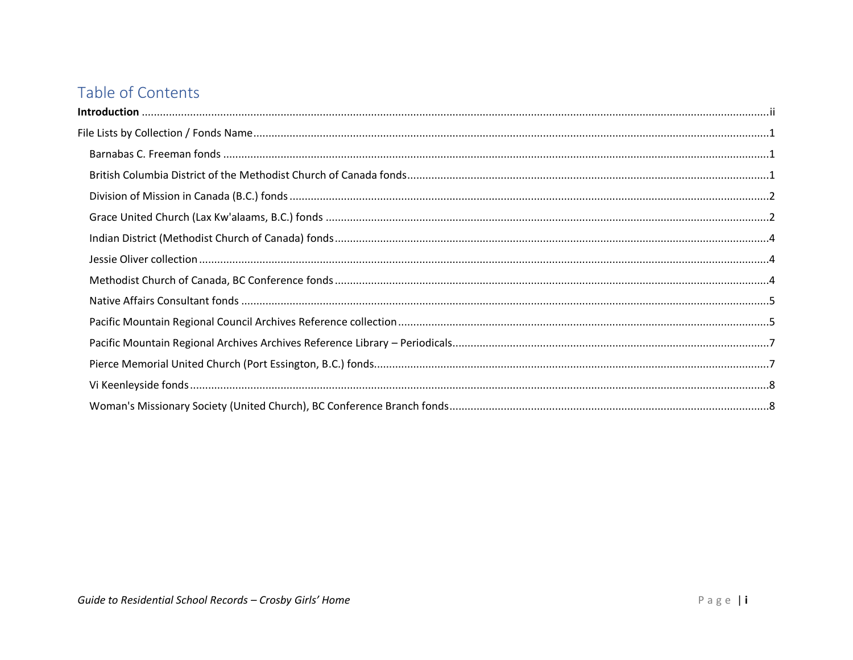# Table of Contents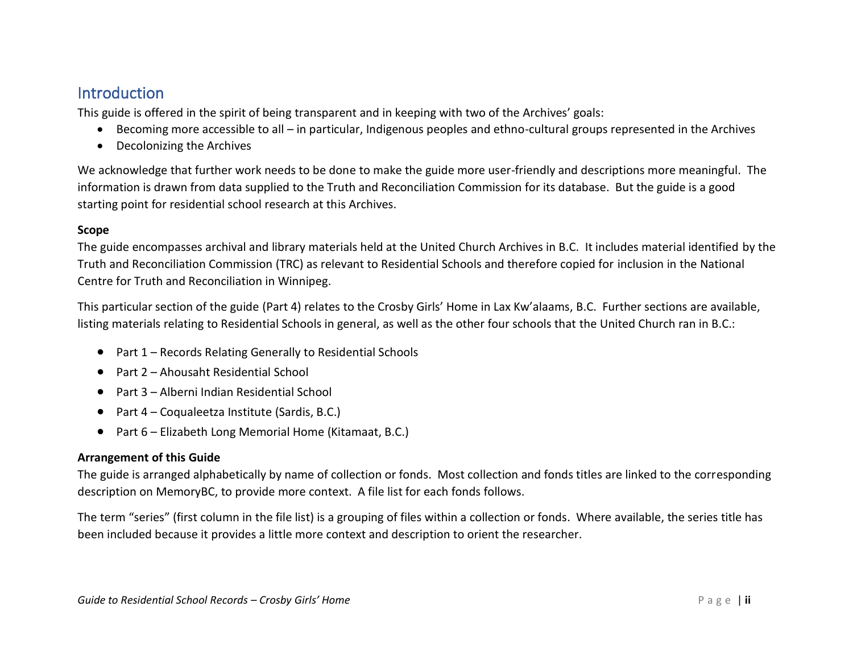# <span id="page-2-0"></span>**Introduction**

This guide is offered in the spirit of being transparent and in keeping with two of the Archives' goals:

- Becoming more accessible to all in particular, Indigenous peoples and ethno-cultural groups represented in the Archives
- Decolonizing the Archives

We acknowledge that further work needs to be done to make the guide more user-friendly and descriptions more meaningful. The information is drawn from data supplied to the Truth and Reconciliation Commission for its database. But the guide is a good starting point for residential school research at this Archives.

#### **Scope**

The guide encompasses archival and library materials held at the United Church Archives in B.C. It includes material identified by the Truth and Reconciliation Commission (TRC) as relevant to Residential Schools and therefore copied for inclusion in the National Centre for Truth and Reconciliation in Winnipeg.

This particular section of the guide (Part 4) relates to the Crosby Girls' Home in Lax Kw'alaams, B.C. Further sections are available, listing materials relating to Residential Schools in general, as well as the other four schools that the United Church ran in B.C.:

- Part 1 Records Relating Generally to Residential Schools
- Part 2 Ahousaht Residential School
- Part 3 Alberni Indian Residential School
- Part 4 Coqualeetza Institute (Sardis, B.C.)
- Part 6 Elizabeth Long Memorial Home (Kitamaat, B.C.)

#### **Arrangement of this Guide**

The guide is arranged alphabetically by name of collection or fonds. Most collection and fonds titles are linked to the corresponding description on MemoryBC, to provide more context. A file list for each fonds follows.

The term "series" (first column in the file list) is a grouping of files within a collection or fonds. Where available, the series title has been included because it provides a little more context and description to orient the researcher.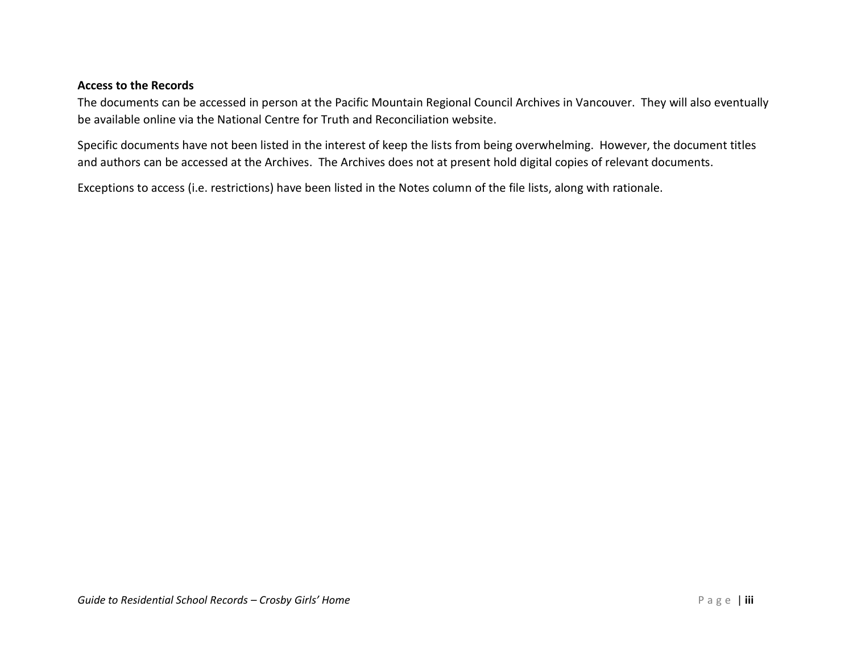#### **Access to the Records**

The documents can be accessed in person at the Pacific Mountain Regional Council Archives in Vancouver. They will also eventually be available online via the National Centre for Truth and Reconciliation website.

Specific documents have not been listed in the interest of keep the lists from being overwhelming. However, the document titles and authors can be accessed at the Archives. The Archives does not at present hold digital copies of relevant documents.

Exceptions to access (i.e. restrictions) have been listed in the Notes column of the file lists, along with rationale.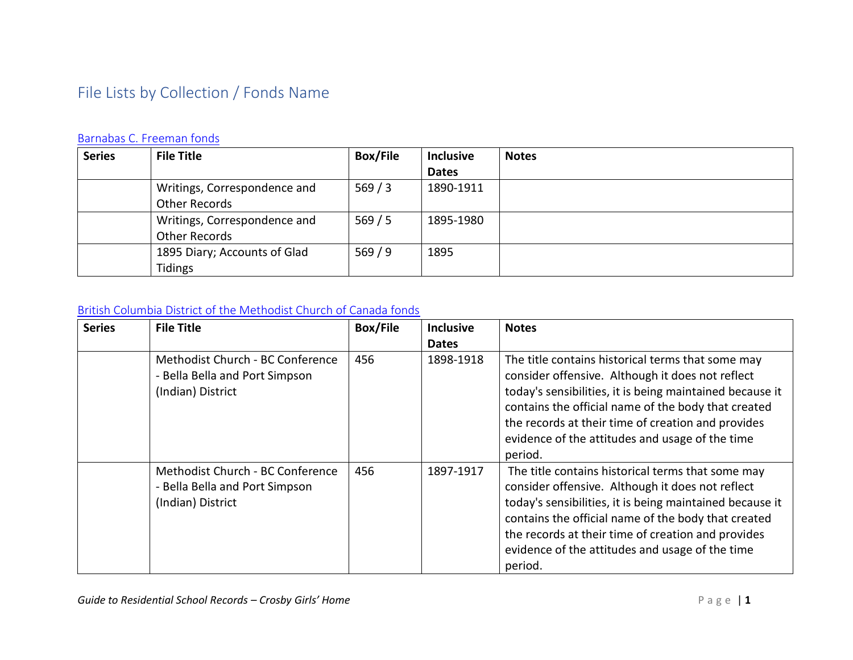# <span id="page-4-0"></span>File Lists by Collection / Fonds Name

# <span id="page-4-1"></span>[Barnabas C. Freeman fonds](https://www.memorybc.ca/b-c-freeman-fonds)

| <b>Series</b> | <b>File Title</b>            | <b>Box/File</b> | <b>Inclusive</b> | <b>Notes</b> |
|---------------|------------------------------|-----------------|------------------|--------------|
|               |                              |                 | <b>Dates</b>     |              |
|               | Writings, Correspondence and | 569/3           | 1890-1911        |              |
|               | Other Records                |                 |                  |              |
|               | Writings, Correspondence and | 569/5           | 1895-1980        |              |
|               | Other Records                |                 |                  |              |
|               | 1895 Diary; Accounts of Glad | 569/9           | 1895             |              |
|               | Tidings                      |                 |                  |              |

#### <span id="page-4-2"></span>[British Columbia District of the Methodist Church of Canada fonds](https://www.memorybc.ca/british-columbia-district-of-methodist-church-of-canada-fonds)

| <b>Series</b> | <b>File Title</b>                                                                       | <b>Box/File</b> | <b>Inclusive</b> | <b>Notes</b>                                                                                                                                                                                                                                                                                                                                 |
|---------------|-----------------------------------------------------------------------------------------|-----------------|------------------|----------------------------------------------------------------------------------------------------------------------------------------------------------------------------------------------------------------------------------------------------------------------------------------------------------------------------------------------|
|               |                                                                                         |                 | <b>Dates</b>     |                                                                                                                                                                                                                                                                                                                                              |
|               | Methodist Church - BC Conference<br>- Bella Bella and Port Simpson<br>(Indian) District | 456             | 1898-1918        | The title contains historical terms that some may<br>consider offensive. Although it does not reflect<br>today's sensibilities, it is being maintained because it<br>contains the official name of the body that created<br>the records at their time of creation and provides<br>evidence of the attitudes and usage of the time<br>period. |
|               | Methodist Church - BC Conference<br>- Bella Bella and Port Simpson<br>(Indian) District | 456             | 1897-1917        | The title contains historical terms that some may<br>consider offensive. Although it does not reflect<br>today's sensibilities, it is being maintained because it<br>contains the official name of the body that created<br>the records at their time of creation and provides<br>evidence of the attitudes and usage of the time<br>period. |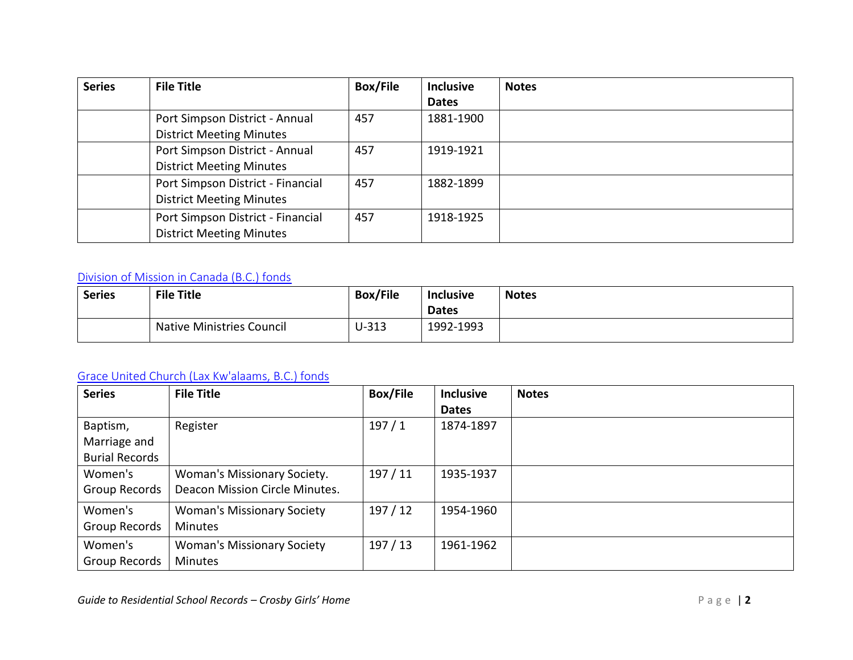| <b>Series</b> | <b>File Title</b>                 | <b>Box/File</b> | <b>Inclusive</b> | <b>Notes</b> |
|---------------|-----------------------------------|-----------------|------------------|--------------|
|               |                                   |                 | <b>Dates</b>     |              |
|               | Port Simpson District - Annual    | 457             | 1881-1900        |              |
|               | <b>District Meeting Minutes</b>   |                 |                  |              |
|               | Port Simpson District - Annual    | 457             | 1919-1921        |              |
|               | <b>District Meeting Minutes</b>   |                 |                  |              |
|               | Port Simpson District - Financial | 457             | 1882-1899        |              |
|               | <b>District Meeting Minutes</b>   |                 |                  |              |
|               | Port Simpson District - Financial | 457             | 1918-1925        |              |
|               | <b>District Meeting Minutes</b>   |                 |                  |              |

# <span id="page-5-0"></span>[Division of Mission in Canada \(B.C.\) fonds](https://www.memorybc.ca/division-of-mission-in-canada-b-c-fonds)

| <b>Series</b> | <b>File Title</b>                | <b>Box/File</b> | <b>Inclusive</b> | <b>Notes</b> |
|---------------|----------------------------------|-----------------|------------------|--------------|
|               |                                  |                 | <b>Dates</b>     |              |
|               | <b>Native Ministries Council</b> | U-313           | 1992-1993        |              |

# <span id="page-5-1"></span>[Grace United Church \(Lax Kw'alaams, B.C.\) fonds](https://www.memorybc.ca/grace-united-church-port-simpson-b-c-fonds)

| <b>Series</b>         | <b>File Title</b>                 | <b>Box/File</b> | <b>Inclusive</b> | <b>Notes</b> |
|-----------------------|-----------------------------------|-----------------|------------------|--------------|
|                       |                                   |                 | <b>Dates</b>     |              |
| Baptism,              | Register                          | 197/1           | 1874-1897        |              |
| Marriage and          |                                   |                 |                  |              |
| <b>Burial Records</b> |                                   |                 |                  |              |
| Women's               | Woman's Missionary Society.       | 197/11          | 1935-1937        |              |
| Group Records         | Deacon Mission Circle Minutes.    |                 |                  |              |
| Women's               | <b>Woman's Missionary Society</b> | 197/12          | 1954-1960        |              |
| Group Records         | <b>Minutes</b>                    |                 |                  |              |
| Women's               | <b>Woman's Missionary Society</b> | 197/13          | 1961-1962        |              |
| Group Records         | <b>Minutes</b>                    |                 |                  |              |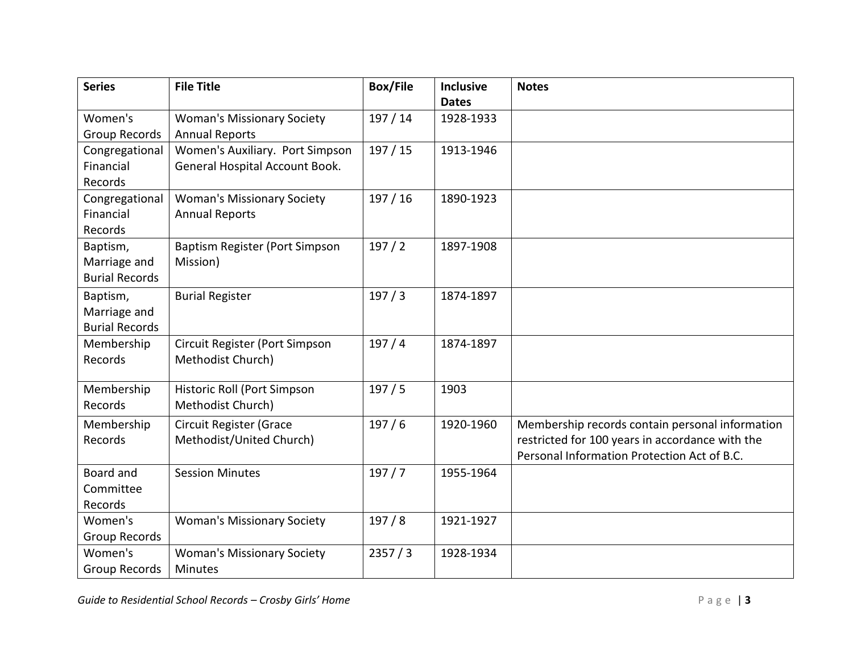| <b>Series</b>         | <b>File Title</b>                 | <b>Box/File</b> | <b>Inclusive</b> | <b>Notes</b>                                    |
|-----------------------|-----------------------------------|-----------------|------------------|-------------------------------------------------|
|                       |                                   |                 | <b>Dates</b>     |                                                 |
| Women's               | <b>Woman's Missionary Society</b> | 197/14          | 1928-1933        |                                                 |
| Group Records         | <b>Annual Reports</b>             |                 |                  |                                                 |
| Congregational        | Women's Auxiliary. Port Simpson   | 197/15          | 1913-1946        |                                                 |
| Financial             | General Hospital Account Book.    |                 |                  |                                                 |
| Records               |                                   |                 |                  |                                                 |
| Congregational        | <b>Woman's Missionary Society</b> | 197/16          | 1890-1923        |                                                 |
| Financial             | <b>Annual Reports</b>             |                 |                  |                                                 |
| Records               |                                   |                 |                  |                                                 |
| Baptism,              | Baptism Register (Port Simpson    | 197/2           | 1897-1908        |                                                 |
| Marriage and          | Mission)                          |                 |                  |                                                 |
| <b>Burial Records</b> |                                   |                 |                  |                                                 |
| Baptism,              | <b>Burial Register</b>            | 197/3           | 1874-1897        |                                                 |
| Marriage and          |                                   |                 |                  |                                                 |
| <b>Burial Records</b> |                                   |                 |                  |                                                 |
| Membership            | Circuit Register (Port Simpson    | 197/4           | 1874-1897        |                                                 |
| Records               | Methodist Church)                 |                 |                  |                                                 |
|                       |                                   |                 |                  |                                                 |
| Membership            | Historic Roll (Port Simpson       | 197/5           | 1903             |                                                 |
| Records               | Methodist Church)                 |                 |                  |                                                 |
| Membership            | Circuit Register (Grace           | 197/6           | 1920-1960        | Membership records contain personal information |
| Records               | Methodist/United Church)          |                 |                  | restricted for 100 years in accordance with the |
|                       |                                   |                 |                  | Personal Information Protection Act of B.C.     |
| Board and             | <b>Session Minutes</b>            | 197/7           | 1955-1964        |                                                 |
| Committee             |                                   |                 |                  |                                                 |
| Records               |                                   |                 |                  |                                                 |
| Women's               | <b>Woman's Missionary Society</b> | 197/8           | 1921-1927        |                                                 |
| Group Records         |                                   |                 |                  |                                                 |
| Women's               | <b>Woman's Missionary Society</b> | 2357/3          | 1928-1934        |                                                 |
| <b>Group Records</b>  | <b>Minutes</b>                    |                 |                  |                                                 |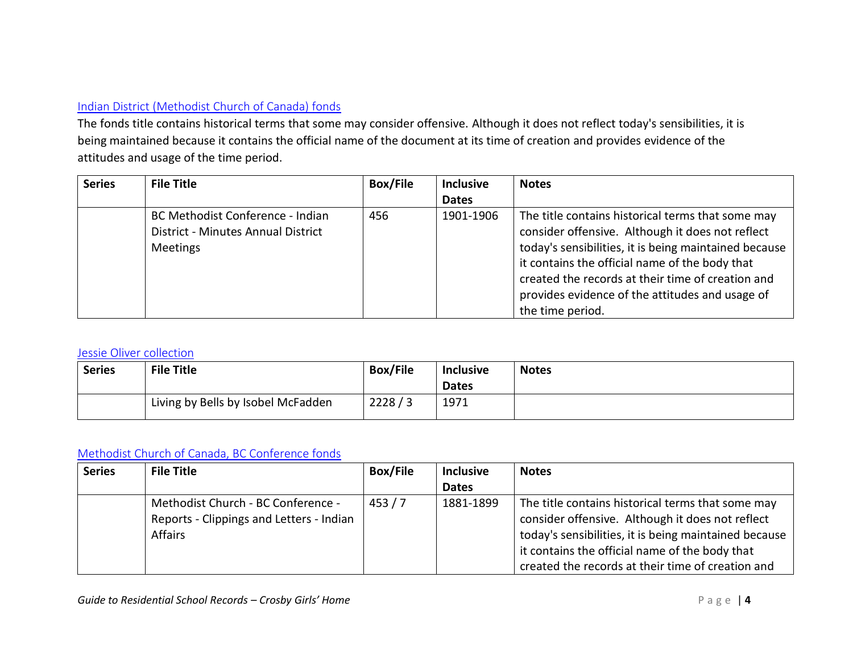#### <span id="page-7-0"></span>[Indian District \(Methodist Church of Canada\) fonds](https://www.memorybc.ca/indian-district-fonds)

The fonds title contains historical terms that some may consider offensive. Although it does not reflect today's sensibilities, it is being maintained because it contains the official name of the document at its time of creation and provides evidence of the attitudes and usage of the time period.

| <b>Series</b> | <b>File Title</b>                  | <b>Box/File</b> | <b>Inclusive</b> | <b>Notes</b>                                          |
|---------------|------------------------------------|-----------------|------------------|-------------------------------------------------------|
|               |                                    |                 | <b>Dates</b>     |                                                       |
|               | BC Methodist Conference - Indian   | 456             | 1901-1906        | The title contains historical terms that some may     |
|               | District - Minutes Annual District |                 |                  | consider offensive. Although it does not reflect      |
|               | Meetings                           |                 |                  | today's sensibilities, it is being maintained because |
|               |                                    |                 |                  | it contains the official name of the body that        |
|               |                                    |                 |                  | created the records at their time of creation and     |
|               |                                    |                 |                  | provides evidence of the attitudes and usage of       |
|               |                                    |                 |                  | the time period.                                      |

#### <span id="page-7-1"></span>[Jessie Oliver collection](https://www.memorybc.ca/jessie-oliver-collection)

| <b>Series</b> | <b>File Title</b>                  | <b>Box/File</b> | <b>Inclusive</b> | <b>Notes</b> |
|---------------|------------------------------------|-----------------|------------------|--------------|
|               |                                    |                 | <b>Dates</b>     |              |
|               | Living by Bells by Isobel McFadden | 2228/3          | 1971             |              |

#### <span id="page-7-2"></span>[Methodist Church of Canada, BC Conference fonds](https://www.memorybc.ca/methodist-church-of-canada-british-columbia-conference-fonds)

| <b>Series</b> | <b>File Title</b>                        | <b>Box/File</b> | <b>Inclusive</b> | <b>Notes</b>                                          |
|---------------|------------------------------------------|-----------------|------------------|-------------------------------------------------------|
|               |                                          |                 | <b>Dates</b>     |                                                       |
|               | Methodist Church - BC Conference -       | 453/7           | 1881-1899        | The title contains historical terms that some may     |
|               | Reports - Clippings and Letters - Indian |                 |                  | consider offensive. Although it does not reflect      |
|               | <b>Affairs</b>                           |                 |                  | today's sensibilities, it is being maintained because |
|               |                                          |                 |                  | it contains the official name of the body that        |
|               |                                          |                 |                  | created the records at their time of creation and     |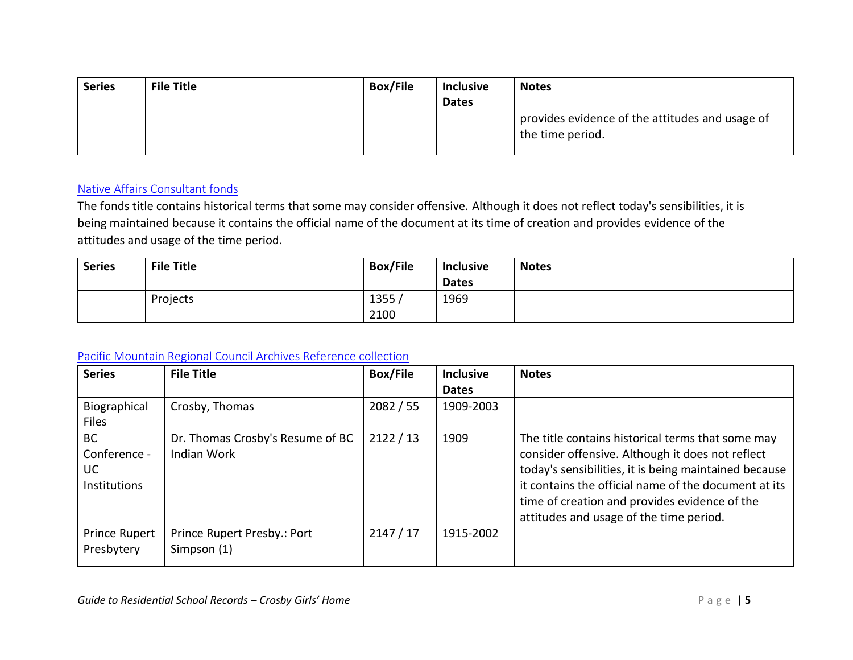| <b>Series</b> | <b>File Title</b> | <b>Box/File</b> | <b>Inclusive</b> | <b>Notes</b>                                                        |
|---------------|-------------------|-----------------|------------------|---------------------------------------------------------------------|
|               |                   |                 | <b>Dates</b>     |                                                                     |
|               |                   |                 |                  | provides evidence of the attitudes and usage of<br>the time period. |

#### <span id="page-8-0"></span>[Native Affairs Consultant fonds](https://www.memorybc.ca/native-affairs-consultant-fonds)

The fonds title contains historical terms that some may consider offensive. Although it does not reflect today's sensibilities, it is being maintained because it contains the official name of the document at its time of creation and provides evidence of the attitudes and usage of the time period.

| <b>Series</b> | <b>File Title</b> | <b>Box/File</b> | <b>Inclusive</b> | <b>Notes</b> |
|---------------|-------------------|-----------------|------------------|--------------|
|               |                   |                 | <b>Dates</b>     |              |
|               | Projects          | 1355            | 1969             |              |
|               |                   | 2100            |                  |              |

# <span id="page-8-1"></span>[Pacific Mountain Regional Council Archives Reference collection](https://www.memorybc.ca/united-church-of-canada-pacific-mountain-region-archives-reference-collection)

| <b>Series</b>                                                 | <b>File Title</b>                                      | <b>Box/File</b> | <b>Inclusive</b> | <b>Notes</b>                                                                                                                                                                                                                                                                                                       |
|---------------------------------------------------------------|--------------------------------------------------------|-----------------|------------------|--------------------------------------------------------------------------------------------------------------------------------------------------------------------------------------------------------------------------------------------------------------------------------------------------------------------|
|                                                               |                                                        |                 | <b>Dates</b>     |                                                                                                                                                                                                                                                                                                                    |
| Biographical                                                  | Crosby, Thomas                                         | 2082 / 55       | 1909-2003        |                                                                                                                                                                                                                                                                                                                    |
| Files                                                         |                                                        |                 |                  |                                                                                                                                                                                                                                                                                                                    |
| <b>BC</b><br>Conference -<br><b>UC</b><br><b>Institutions</b> | Dr. Thomas Crosby's Resume of BC<br><b>Indian Work</b> | 2122/13         | 1909             | The title contains historical terms that some may<br>consider offensive. Although it does not reflect<br>today's sensibilities, it is being maintained because<br>it contains the official name of the document at its<br>time of creation and provides evidence of the<br>attitudes and usage of the time period. |
| <b>Prince Rupert</b><br>Presbytery                            | Prince Rupert Presby.: Port<br>Simpson (1)             | 2147/17         | 1915-2002        |                                                                                                                                                                                                                                                                                                                    |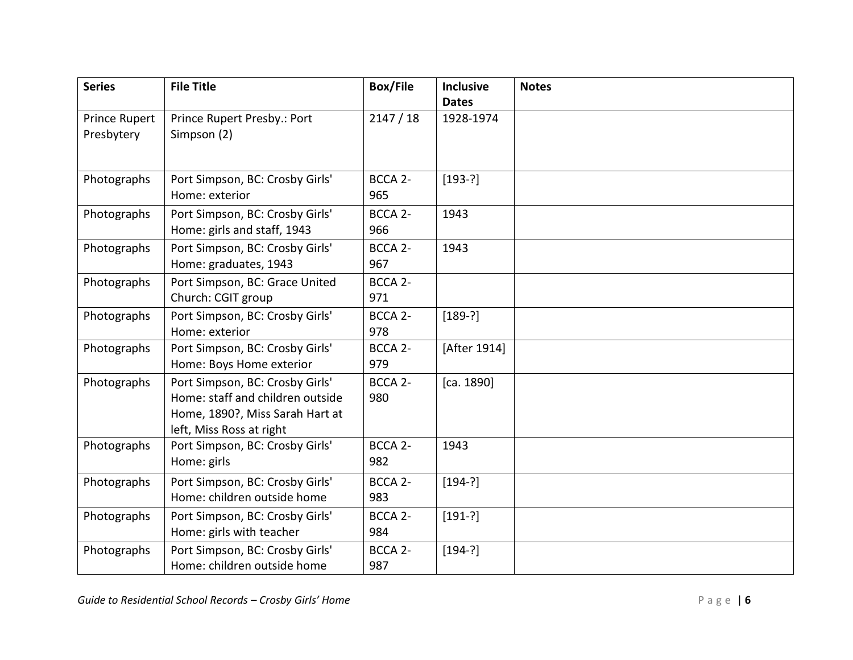| <b>Series</b> | <b>File Title</b>                | <b>Box/File</b>     | <b>Inclusive</b> | <b>Notes</b> |
|---------------|----------------------------------|---------------------|------------------|--------------|
|               |                                  |                     | <b>Dates</b>     |              |
| Prince Rupert | Prince Rupert Presby.: Port      | 2147/18             | 1928-1974        |              |
| Presbytery    | Simpson (2)                      |                     |                  |              |
|               |                                  |                     |                  |              |
|               |                                  |                     |                  |              |
| Photographs   | Port Simpson, BC: Crosby Girls'  | BCCA <sub>2</sub> - | $[193-?]$        |              |
|               | Home: exterior                   | 965                 |                  |              |
| Photographs   | Port Simpson, BC: Crosby Girls'  | BCCA <sub>2</sub> - | 1943             |              |
|               | Home: girls and staff, 1943      | 966                 |                  |              |
| Photographs   | Port Simpson, BC: Crosby Girls'  | BCCA <sub>2</sub> - | 1943             |              |
|               | Home: graduates, 1943            | 967                 |                  |              |
| Photographs   | Port Simpson, BC: Grace United   | BCCA <sub>2</sub> - |                  |              |
|               | Church: CGIT group               | 971                 |                  |              |
| Photographs   | Port Simpson, BC: Crosby Girls'  | BCCA <sub>2</sub> - | $[189-?]$        |              |
|               | Home: exterior                   | 978                 |                  |              |
| Photographs   | Port Simpson, BC: Crosby Girls'  | BCCA <sub>2</sub> - | [After 1914]     |              |
|               | Home: Boys Home exterior         | 979                 |                  |              |
| Photographs   | Port Simpson, BC: Crosby Girls'  | BCCA <sub>2</sub> - | [ca. 1890]       |              |
|               | Home: staff and children outside | 980                 |                  |              |
|               | Home, 1890?, Miss Sarah Hart at  |                     |                  |              |
|               | left, Miss Ross at right         |                     |                  |              |
| Photographs   | Port Simpson, BC: Crosby Girls'  | BCCA <sub>2</sub> - | 1943             |              |
|               | Home: girls                      | 982                 |                  |              |
| Photographs   | Port Simpson, BC: Crosby Girls'  | BCCA <sub>2</sub> - | $[194-?]$        |              |
|               | Home: children outside home      | 983                 |                  |              |
| Photographs   | Port Simpson, BC: Crosby Girls'  | BCCA <sub>2</sub> - | $[191-?]$        |              |
|               | Home: girls with teacher         | 984                 |                  |              |
| Photographs   | Port Simpson, BC: Crosby Girls'  | BCCA <sub>2</sub> - | $[194-?]$        |              |
|               | Home: children outside home      | 987                 |                  |              |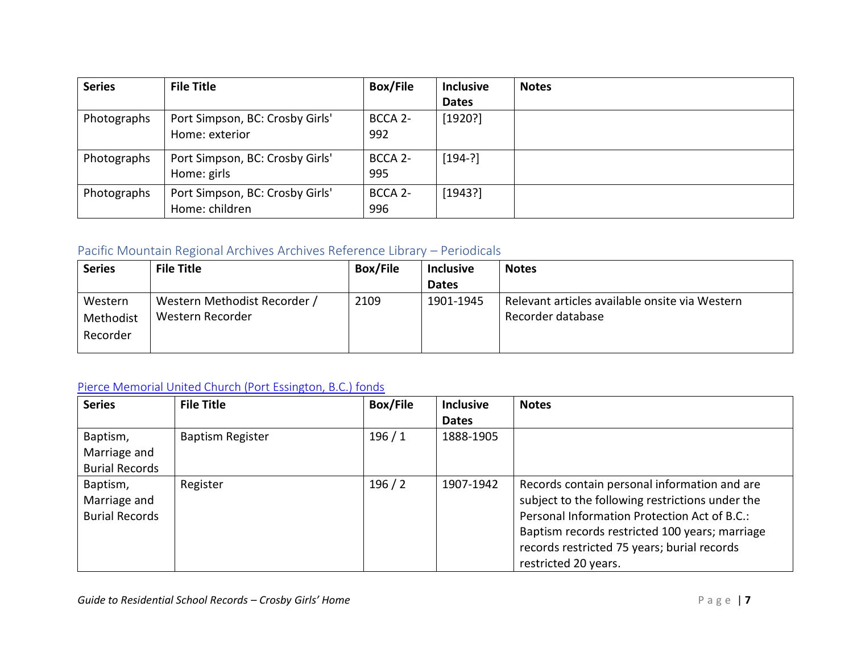| <b>Series</b> | <b>File Title</b>               | <b>Box/File</b>     | <b>Inclusive</b> | <b>Notes</b> |
|---------------|---------------------------------|---------------------|------------------|--------------|
|               |                                 |                     | <b>Dates</b>     |              |
| Photographs   | Port Simpson, BC: Crosby Girls' | BCCA <sub>2</sub> - | [1920?]          |              |
|               | Home: exterior                  | 992                 |                  |              |
| Photographs   | Port Simpson, BC: Crosby Girls' | BCCA 2-             | [194-?]          |              |
|               | Home: girls                     | 995                 |                  |              |
| Photographs   | Port Simpson, BC: Crosby Girls' | BCCA <sub>2</sub> - | [1943?]          |              |
|               | Home: children                  | 996                 |                  |              |

#### <span id="page-10-0"></span>Pacific Mountain Regional Archives Archives Reference Library – Periodicals

| <b>Series</b> | <b>File Title</b>            | <b>Box/File</b> | <b>Inclusive</b> | <b>Notes</b>                                   |
|---------------|------------------------------|-----------------|------------------|------------------------------------------------|
|               |                              |                 | <b>Dates</b>     |                                                |
| Western       | Western Methodist Recorder / | 2109            | 1901-1945        | Relevant articles available onsite via Western |
| Methodist     | Western Recorder             |                 |                  | Recorder database                              |
| Recorder      |                              |                 |                  |                                                |
|               |                              |                 |                  |                                                |

# <span id="page-10-1"></span>[Pierce Memorial United Church \(Port Essington, B.C.\) fonds](https://www.memorybc.ca/pierce-memorial-united-church-port-essington-b-c-fonds)

| <b>Series</b>         | <b>File Title</b>       | <b>Box/File</b> | <b>Inclusive</b> | <b>Notes</b>                                    |
|-----------------------|-------------------------|-----------------|------------------|-------------------------------------------------|
|                       |                         |                 | <b>Dates</b>     |                                                 |
| Baptism,              | <b>Baptism Register</b> | 196/1           | 1888-1905        |                                                 |
| Marriage and          |                         |                 |                  |                                                 |
| <b>Burial Records</b> |                         |                 |                  |                                                 |
| Baptism,              | Register                | 196/2           | 1907-1942        | Records contain personal information and are    |
| Marriage and          |                         |                 |                  | subject to the following restrictions under the |
| <b>Burial Records</b> |                         |                 |                  | Personal Information Protection Act of B.C.:    |
|                       |                         |                 |                  | Baptism records restricted 100 years; marriage  |
|                       |                         |                 |                  | records restricted 75 years; burial records     |
|                       |                         |                 |                  | restricted 20 years.                            |